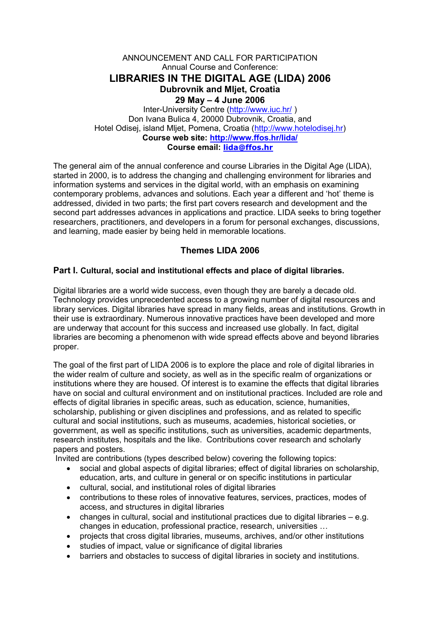### ANNOUNCEMENT AND CALL FOR PARTICIPATION Annual Course and Conference: **LIBRARIES IN THE DIGITAL AGE (LIDA) 2006 Dubrovnik and Mljet, Croatia 29 May – 4 June 2006**  Inter-University Centre (http://www.iuc.hr/ ) Don Ivana Bulica 4, 20000 Dubrovnik, Croatia, and Hotel Odisej, island Mljet, Pomena, Croatia (http://www.hotelodisej.hr) **Course web site: http://www.ffos.hr/lida/ Course email: lida@ffos.hr**

The general aim of the annual conference and course Libraries in the Digital Age (LIDA), started in 2000, is to address the changing and challenging environment for libraries and information systems and services in the digital world, with an emphasis on examining contemporary problems, advances and solutions. Each year a different and 'hot' theme is addressed, divided in two parts; the first part covers research and development and the second part addresses advances in applications and practice. LIDA seeks to bring together researchers, practitioners, and developers in a forum for personal exchanges, discussions, and learning, made easier by being held in memorable locations.

# **Themes LIDA 2006**

## **Part I. Cultural, social and institutional effects and place of digital libraries.**

Digital libraries are a world wide success, even though they are barely a decade old. Technology provides unprecedented access to a growing number of digital resources and library services. Digital libraries have spread in many fields, areas and institutions. Growth in their use is extraordinary. Numerous innovative practices have been developed and more are underway that account for this success and increased use globally. In fact, digital libraries are becoming a phenomenon with wide spread effects above and beyond libraries proper.

The goal of the first part of LIDA 2006 is to explore the place and role of digital libraries in the wider realm of culture and society, as well as in the specific realm of organizations or institutions where they are housed. Of interest is to examine the effects that digital libraries have on social and cultural environment and on institutional practices. Included are role and effects of digital libraries in specific areas, such as education, science, humanities, scholarship, publishing or given disciplines and professions, and as related to specific cultural and social institutions, such as museums, academies, historical societies, or government, as well as specific institutions, such as universities, academic departments, research institutes, hospitals and the like. Contributions cover research and scholarly papers and posters.

Invited are contributions (types described below) covering the following topics:

- social and global aspects of digital libraries; effect of digital libraries on scholarship, education, arts, and culture in general or on specific institutions in particular
- cultural, social, and institutional roles of digital libraries
- contributions to these roles of innovative features, services, practices, modes of access, and structures in digital libraries
- changes in cultural, social and institutional practices due to digital libraries e.g. changes in education, professional practice, research, universities …
- projects that cross digital libraries, museums, archives, and/or other institutions
- studies of impact, value or significance of digital libraries
- barriers and obstacles to success of digital libraries in society and institutions.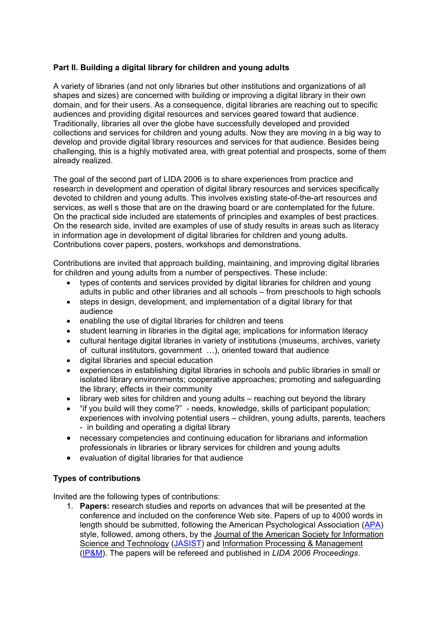## **Part II. Building a digital library for children and young adults**

A variety of libraries (and not only libraries but other institutions and organizations of all shapes and sizes) are concerned with building or improving a digital library in their own domain, and for their users. As a consequence, digital libraries are reaching out to specific audiences and providing digital resources and services geared toward that audience. Traditionally, libraries all over the globe have successfully developed and provided collections and services for children and young adults. Now they are moving in a big way to develop and provide digital library resources and services for that audience. Besides being challenging, this is a highly motivated area, with great potential and prospects, some of them already realized.

The goal of the second part of LIDA 2006 is to share experiences from practice and research in development and operation of digital library resources and services specifically devoted to children and young adults. This involves existing state-of-the-art resources and services, as well s those that are on the drawing board or are contemplated for the future. On the practical side included are statements of principles and examples of best practices. On the research side, invited are examples of use of study results in areas such as literacy in information age in development of digital libraries for children and young adults. Contributions cover papers, posters, workshops and demonstrations.

Contributions are invited that approach building, maintaining, and improving digital libraries for children and young adults from a number of perspectives. These include:

- types of contents and services provided by digital libraries for children and young adults in public and other libraries and all schools – from preschools to high schools
- steps in design, development, and implementation of a digital library for that audience
- enabling the use of digital libraries for children and teens
- student learning in libraries in the digital age; implications for information literacy
- cultural heritage digital libraries in variety of institutions (museums, archives, variety of cultural institutors, government …), oriented toward that audience
- digital libraries and special education
- experiences in establishing digital libraries in schools and public libraries in small or isolated library environments; cooperative approaches; promoting and safeguarding the library; effects in their community
- library web sites for children and young adults reaching out beyond the library
- "if you build will they come?" needs, knowledge, skills of participant population; experiences with involving potential users – children, young adults, parents, teachers - in building and operating a digital library
- necessary competencies and continuing education for librarians and information professionals in libraries or library services for children and young adults
- evaluation of digital libraries for that audience

### **Types of contributions**

Invited are the following types of contributions:

1. **Papers:** research studies and reports on advances that will be presented at the conference and included on the conference Web site. Papers of up to 4000 words in length should be submitted, following the American Psychological Association (APA) style, followed, among others, by the Journal of the American Society for Information Science and Technology (JASIST) and Information Processing & Management (IP&M). The papers will be refereed and published in *LIDA 2006 Proceedings*.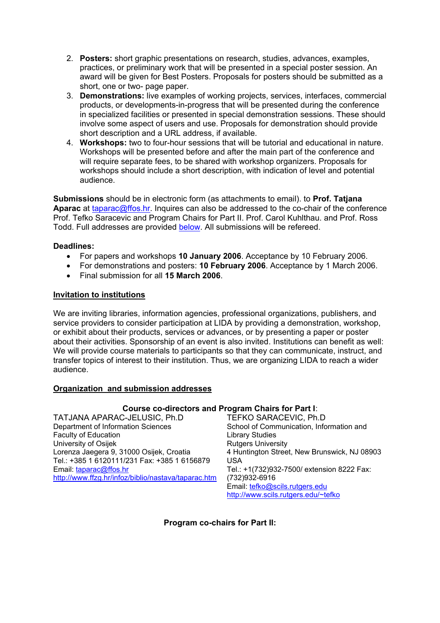- 2. **Posters:** short graphic presentations on research, studies, advances, examples, practices, or preliminary work that will be presented in a special poster session. An award will be given for Best Posters. Proposals for posters should be submitted as a short, one or two- page paper.
- 3. **Demonstrations:** live examples of working projects, services, interfaces, commercial products, or developments-in-progress that will be presented during the conference in specialized facilities or presented in special demonstration sessions. These should involve some aspect of users and use. Proposals for demonstration should provide short description and a URL address, if available.
- 4. **Workshops:** two to four-hour sessions that will be tutorial and educational in nature. Workshops will be presented before and after the main part of the conference and will require separate fees, to be shared with workshop organizers. Proposals for workshops should include a short description, with indication of level and potential audience.

**Submissions** should be in electronic form (as attachments to email). to **Prof. Tatjana Aparac** at taparac@ffos.hr. Inquires can also be addressed to the co-chair of the conference Prof. Tefko Saracevic and Program Chairs for Part II. Prof. Carol Kuhlthau. and Prof. Ross Todd. Full addresses are provided below. All submissions will be refereed.

### **Deadlines:**

- For papers and workshops **10 January 2006**. Acceptance by 10 February 2006.
- For demonstrations and posters: **10 February 2006**. Acceptance by 1 March 2006.
- Final submission for all **15 March 2006**.

### **Invitation to institutions**

We are inviting libraries, information agencies, professional organizations, publishers, and service providers to consider participation at LIDA by providing a demonstration, workshop, or exhibit about their products, services or advances, or by presenting a paper or poster about their activities. Sponsorship of an event is also invited. Institutions can benefit as well: We will provide course materials to participants so that they can communicate, instruct, and transfer topics of interest to their institution. Thus, we are organizing LIDA to reach a wider audience.

### **Organization and submission addresses**

### **Course co-directors and Program Chairs for Part I**:

TATJANA APARAC-JELUSIC, Ph.D Department of Information Sciences Faculty of Education University of Osijek Lorenza Jaegera 9, 31000 Osijek, Croatia Tel.: +385 1 6120111/231 Fax: +385 1 6156879 Email: taparac@ffos.hr http://www.ffzg.hr/infoz/biblio/nastava/taparac.htm

TEFKO SARACEVIC, Ph.D School of Communication, Information and Library Studies Rutgers University 4 Huntington Street, New Brunswick, NJ 08903 USA Tel.: +1(732)932-7500/ extension 8222 Fax: (732)932-6916 Email: tefko@scils.rutgers.edu http://www.scils.rutgers.edu/~tefko

**Program co-chairs for Part II:**